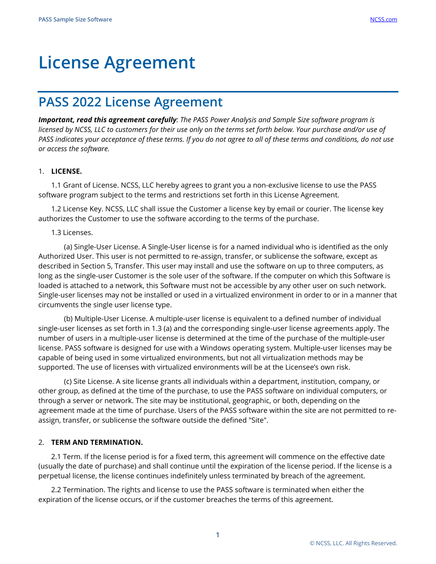# **License Agreement**

# **PASS 2022 License Agreement**

*Important, read this agreement carefully: The PASS Power Analysis and Sample Size software program is licensed by NCSS, LLC to customers for their use only on the terms set forth below. Your purchase and/or use of PASS indicates your acceptance of these terms. If you do not agree to all of these terms and conditions, do not use or access the software.*

## 1. **LICENSE.**

1.1 Grant of License. NCSS, LLC hereby agrees to grant you a non-exclusive license to use the PASS software program subject to the terms and restrictions set forth in this License Agreement.

1.2 License Key. NCSS, LLC shall issue the Customer a license key by email or courier. The license key authorizes the Customer to use the software according to the terms of the purchase.

### 1.3 Licenses.

(a) Single-User License. A Single-User license is for a named individual who is identified as the only Authorized User. This user is not permitted to re-assign, transfer, or sublicense the software, except as described in Section 5, Transfer. This user may install and use the software on up to three computers, as long as the single-user Customer is the sole user of the software. If the computer on which this Software is loaded is attached to a network, this Software must not be accessible by any other user on such network. Single-user licenses may not be installed or used in a virtualized environment in order to or in a manner that circumvents the single user license type.

(b) Multiple-User License. A multiple-user license is equivalent to a defined number of individual single-user licenses as set forth in 1.3 (a) and the corresponding single-user license agreements apply. The number of users in a multiple-user license is determined at the time of the purchase of the multiple-user license. PASS software is designed for use with a Windows operating system. Multiple-user licenses may be capable of being used in some virtualized environments, but not all virtualization methods may be supported. The use of licenses with virtualized environments will be at the Licensee's own risk.

(c) Site License. A site license grants all individuals within a department, institution, company, or other group, as defined at the time of the purchase, to use the PASS software on individual computers, or through a server or network. The site may be institutional, geographic, or both, depending on the agreement made at the time of purchase. Users of the PASS software within the site are not permitted to reassign, transfer, or sublicense the software outside the defined "Site".

### 2. **TERM AND TERMINATION.**

2.1 Term. If the license period is for a fixed term, this agreement will commence on the effective date (usually the date of purchase) and shall continue until the expiration of the license period. If the license is a perpetual license, the license continues indefinitely unless terminated by breach of the agreement.

2.2 Termination. The rights and license to use the PASS software is terminated when either the expiration of the license occurs, or if the customer breaches the terms of this agreement.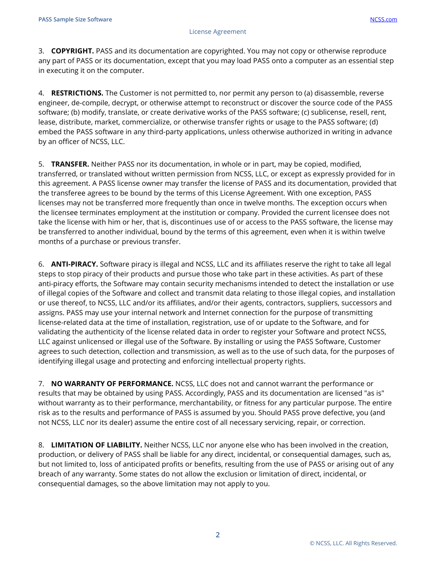3. **COPYRIGHT.** PASS and its documentation are copyrighted. You may not copy or otherwise reproduce any part of PASS or its documentation, except that you may load PASS onto a computer as an essential step in executing it on the computer.

4. **RESTRICTIONS.** The Customer is not permitted to, nor permit any person to (a) disassemble, reverse engineer, de-compile, decrypt, or otherwise attempt to reconstruct or discover the source code of the PASS software; (b) modify, translate, or create derivative works of the PASS software; (c) sublicense, resell, rent, lease, distribute, market, commercialize, or otherwise transfer rights or usage to the PASS software; (d) embed the PASS software in any third-party applications, unless otherwise authorized in writing in advance by an officer of NCSS, LLC.

5. **TRANSFER.** Neither PASS nor its documentation, in whole or in part, may be copied, modified, transferred, or translated without written permission from NCSS, LLC, or except as expressly provided for in this agreement. A PASS license owner may transfer the license of PASS and its documentation, provided that the transferee agrees to be bound by the terms of this License Agreement. With one exception, PASS licenses may not be transferred more frequently than once in twelve months. The exception occurs when the licensee terminates employment at the institution or company. Provided the current licensee does not take the license with him or her, that is, discontinues use of or access to the PASS software, the license may be transferred to another individual, bound by the terms of this agreement, even when it is within twelve months of a purchase or previous transfer.

6. **ANTI-PIRACY.** Software piracy is illegal and NCSS, LLC and its affiliates reserve the right to take all legal steps to stop piracy of their products and pursue those who take part in these activities. As part of these anti-piracy efforts, the Software may contain security mechanisms intended to detect the installation or use of illegal copies of the Software and collect and transmit data relating to those illegal copies, and installation or use thereof, to NCSS, LLC and/or its affiliates, and/or their agents, contractors, suppliers, successors and assigns. PASS may use your internal network and Internet connection for the purpose of transmitting license-related data at the time of installation, registration, use of or update to the Software, and for validating the authenticity of the license related data in order to register your Software and protect NCSS, LLC against unlicensed or illegal use of the Software. By installing or using the PASS Software, Customer agrees to such detection, collection and transmission, as well as to the use of such data, for the purposes of identifying illegal usage and protecting and enforcing intellectual property rights.

7. **NO WARRANTY OF PERFORMANCE.** NCSS, LLC does not and cannot warrant the performance or results that may be obtained by using PASS. Accordingly, PASS and its documentation are licensed "as is" without warranty as to their performance, merchantability, or fitness for any particular purpose. The entire risk as to the results and performance of PASS is assumed by you. Should PASS prove defective, you (and not NCSS, LLC nor its dealer) assume the entire cost of all necessary servicing, repair, or correction.

8. **LIMITATION OF LIABILITY.** Neither NCSS, LLC nor anyone else who has been involved in the creation, production, or delivery of PASS shall be liable for any direct, incidental, or consequential damages, such as, but not limited to, loss of anticipated profits or benefits, resulting from the use of PASS or arising out of any breach of any warranty. Some states do not allow the exclusion or limitation of direct, incidental, or consequential damages, so the above limitation may not apply to you.